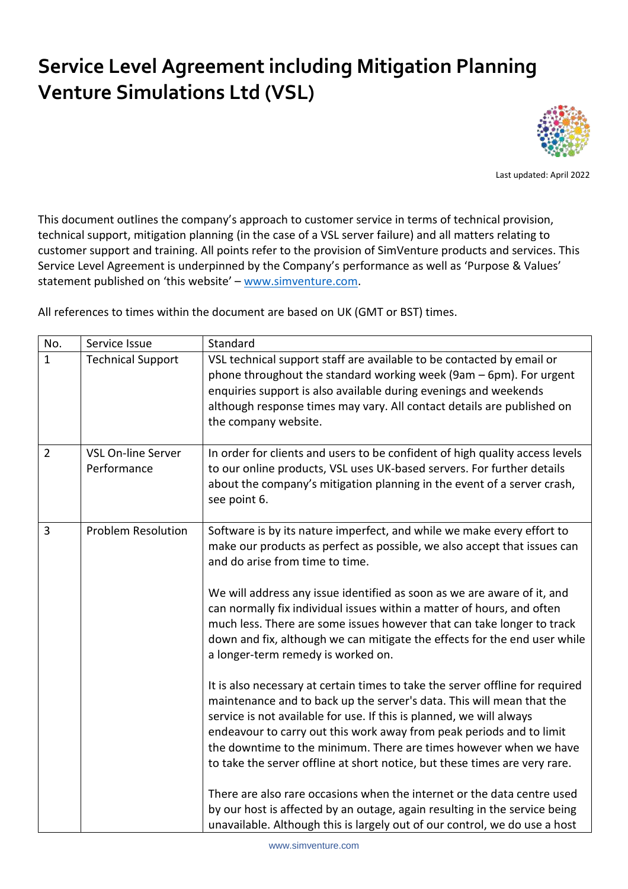## **Service Level Agreement including Mitigation Planning Venture Simulations Ltd (VSL)**



Last updated: April 2022

This document outlines the company's approach to customer service in terms of technical provision, technical support, mitigation planning (in the case of a VSL server failure) and all matters relating to customer support and training. All points refer to the provision of SimVenture products and services. This Service Level Agreement is underpinned by the Company's performance as well as 'Purpose & Values' statement published on 'this website' – [www.simventure.com.](http://www.simventure.com/)

All references to times within the document are based on UK (GMT or BST) times.

| No.            | Service Issue                            | Standard                                                                                                                                                                                                                                                                                                                                                                                                                                                                                                                                                                                                                                                                                                                                                                                                                                                                                                                                                                                                                                                                                                                                                                                                                                    |
|----------------|------------------------------------------|---------------------------------------------------------------------------------------------------------------------------------------------------------------------------------------------------------------------------------------------------------------------------------------------------------------------------------------------------------------------------------------------------------------------------------------------------------------------------------------------------------------------------------------------------------------------------------------------------------------------------------------------------------------------------------------------------------------------------------------------------------------------------------------------------------------------------------------------------------------------------------------------------------------------------------------------------------------------------------------------------------------------------------------------------------------------------------------------------------------------------------------------------------------------------------------------------------------------------------------------|
| $\mathbf{1}$   | <b>Technical Support</b>                 | VSL technical support staff are available to be contacted by email or<br>phone throughout the standard working week (9am - 6pm). For urgent<br>enquiries support is also available during evenings and weekends<br>although response times may vary. All contact details are published on<br>the company website.                                                                                                                                                                                                                                                                                                                                                                                                                                                                                                                                                                                                                                                                                                                                                                                                                                                                                                                           |
| $\overline{2}$ | <b>VSL On-line Server</b><br>Performance | In order for clients and users to be confident of high quality access levels<br>to our online products, VSL uses UK-based servers. For further details<br>about the company's mitigation planning in the event of a server crash,<br>see point 6.                                                                                                                                                                                                                                                                                                                                                                                                                                                                                                                                                                                                                                                                                                                                                                                                                                                                                                                                                                                           |
| 3              | <b>Problem Resolution</b>                | Software is by its nature imperfect, and while we make every effort to<br>make our products as perfect as possible, we also accept that issues can<br>and do arise from time to time.<br>We will address any issue identified as soon as we are aware of it, and<br>can normally fix individual issues within a matter of hours, and often<br>much less. There are some issues however that can take longer to track<br>down and fix, although we can mitigate the effects for the end user while<br>a longer-term remedy is worked on.<br>It is also necessary at certain times to take the server offline for required<br>maintenance and to back up the server's data. This will mean that the<br>service is not available for use. If this is planned, we will always<br>endeavour to carry out this work away from peak periods and to limit<br>the downtime to the minimum. There are times however when we have<br>to take the server offline at short notice, but these times are very rare.<br>There are also rare occasions when the internet or the data centre used<br>by our host is affected by an outage, again resulting in the service being<br>unavailable. Although this is largely out of our control, we do use a host |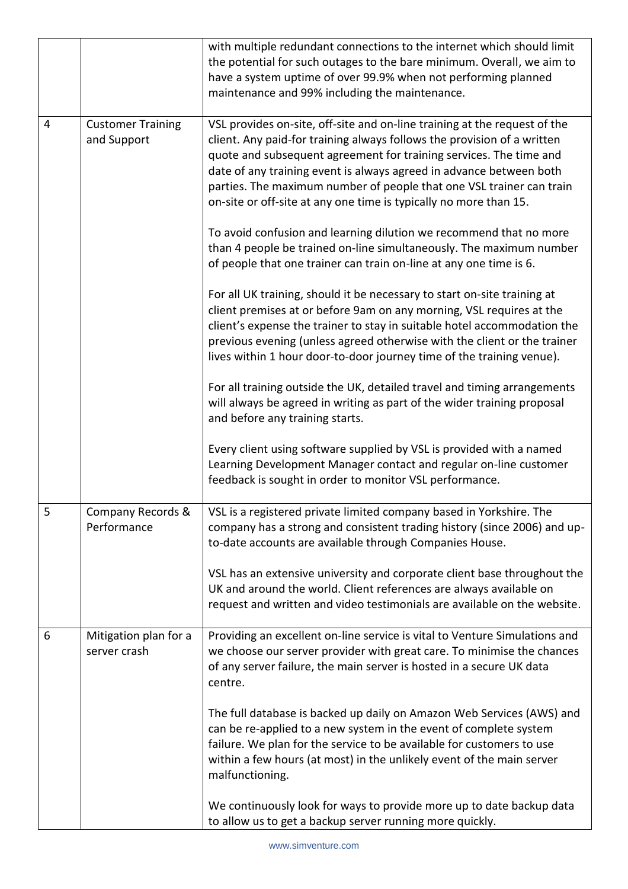|   |                                         | with multiple redundant connections to the internet which should limit<br>the potential for such outages to the bare minimum. Overall, we aim to<br>have a system uptime of over 99.9% when not performing planned<br>maintenance and 99% including the maintenance.                                                                                                                                                                           |
|---|-----------------------------------------|------------------------------------------------------------------------------------------------------------------------------------------------------------------------------------------------------------------------------------------------------------------------------------------------------------------------------------------------------------------------------------------------------------------------------------------------|
| 4 | <b>Customer Training</b><br>and Support | VSL provides on-site, off-site and on-line training at the request of the<br>client. Any paid-for training always follows the provision of a written<br>quote and subsequent agreement for training services. The time and<br>date of any training event is always agreed in advance between both<br>parties. The maximum number of people that one VSL trainer can train<br>on-site or off-site at any one time is typically no more than 15. |
|   |                                         | To avoid confusion and learning dilution we recommend that no more<br>than 4 people be trained on-line simultaneously. The maximum number<br>of people that one trainer can train on-line at any one time is 6.                                                                                                                                                                                                                                |
|   |                                         | For all UK training, should it be necessary to start on-site training at<br>client premises at or before 9am on any morning, VSL requires at the<br>client's expense the trainer to stay in suitable hotel accommodation the<br>previous evening (unless agreed otherwise with the client or the trainer<br>lives within 1 hour door-to-door journey time of the training venue).                                                              |
|   |                                         | For all training outside the UK, detailed travel and timing arrangements<br>will always be agreed in writing as part of the wider training proposal<br>and before any training starts.                                                                                                                                                                                                                                                         |
|   |                                         | Every client using software supplied by VSL is provided with a named<br>Learning Development Manager contact and regular on-line customer<br>feedback is sought in order to monitor VSL performance.                                                                                                                                                                                                                                           |
| 5 | Company Records &<br>Performance        | VSL is a registered private limited company based in Yorkshire. The<br>company has a strong and consistent trading history (since 2006) and up-<br>to-date accounts are available through Companies House.                                                                                                                                                                                                                                     |
|   |                                         | VSL has an extensive university and corporate client base throughout the<br>UK and around the world. Client references are always available on<br>request and written and video testimonials are available on the website.                                                                                                                                                                                                                     |
| 6 | Mitigation plan for a<br>server crash   | Providing an excellent on-line service is vital to Venture Simulations and<br>we choose our server provider with great care. To minimise the chances<br>of any server failure, the main server is hosted in a secure UK data<br>centre.                                                                                                                                                                                                        |
|   |                                         | The full database is backed up daily on Amazon Web Services (AWS) and<br>can be re-applied to a new system in the event of complete system<br>failure. We plan for the service to be available for customers to use<br>within a few hours (at most) in the unlikely event of the main server<br>malfunctioning.                                                                                                                                |
|   |                                         | We continuously look for ways to provide more up to date backup data<br>to allow us to get a backup server running more quickly.                                                                                                                                                                                                                                                                                                               |